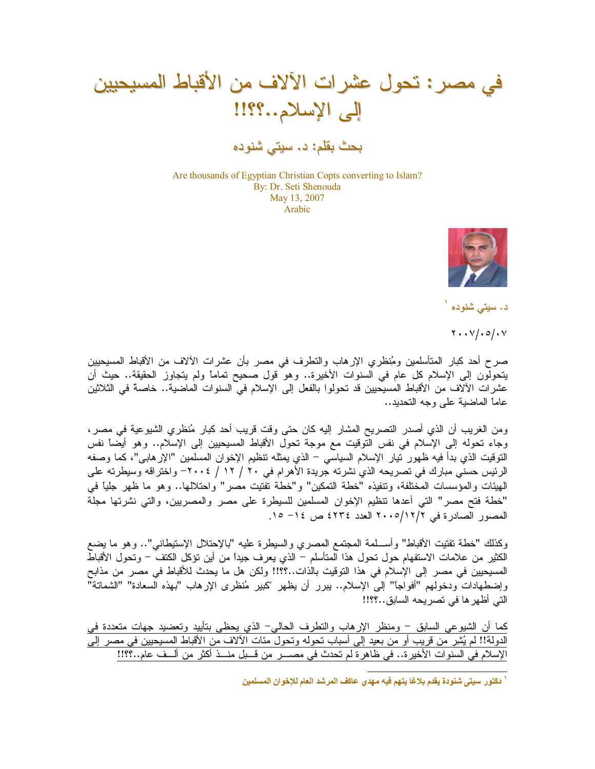في مصر : تحول عشرات الآلاف من الأقباط المسيحيين إلى الإسلام..؟؟!!

بحث بقلم: د. سيتي شنوده

Are thousands of Egyptian Christian Copts converting to Islam? By: Dr. Seti Shenouda May 13, 2007 Arabic



د. سیتبی شنوده <sup>۱</sup>

 $Y \cdot Y / .0 / .V$ 

صرح أحد كبار المتأسلمين ومُنظري الإرهاب والنطرف في مصر بأن عشرات الألاف من الأقباط المسيحيين يتحولون إلى الإسلام كل عام في السنوات الأخيرة.. وهو قول صحيح تمامًا ولم يتجاوز الحقيقة.. حيث أن عشرات الآلاف من الأقباط المسيحيين قد تحولوا بالفعل إلى الإسلام في السنوات الماضية.. خاصة في الثلاثين عاماً الماضبة على وجه التحديد..

ومن الغريب أن الذي أصدر التصريح المشار إليه كان حتى وقت قريب أحد كبار مُنظري الشيوعية في مصر، وجاء تحوله إلى الإسلام في نفس الَّتوقيت مع موجة تحول الأقباط المسيحيين إلى الإسلام.. وهو أيضاً نفس النوقيت الذي بدأ فيه ظهور نيار الإسلام السياسي – الذي يمثله نتظيم الإخوان المسلمين "الإرهابـي"، كما وصفه الرئيس حسني مبارك في تصريحه الذي نشرته جريدة الأهرام في ٢٠ / ١٢ / ٢٠٠٤– واختراقه وسيطرته على الهيئات والمؤسسات المختلفة، ونتفيذه "خطة التمكين" و"خطة تفتيت مصر" واحتلالها.. وهو ما ظهر جلياً في "خطة فتح مصر" التي أعدها نتظيم الإخوان المسلمين للسيطرة على مصر والمصريين، والتي نشرتها مجلة المصور الصادرة في ٢٠٠٥/١٢/٢ العدد ٤٢٣٤ ص ١٤- ١٥.

وكذلك "خطة نفتيت الأقباط" وأســـلمة المعتمع المصري والسيطرة عليه "بالإحتلال الإستيطاني".. وهو ما يضع الكثير من علامات الاستفهام حول تحول هذا المتأسلم – الذي يعرف جيدًا من أين نؤكل الكتف – وتحول الأقباط المسيحيين في مصر إلى الإسلام في هذا التوقيت بالذات..؟؟!! ولكن هل ما يحدث للأقباط في مصر من مذابح وإضطهادات ودخولهم "أفواجاً" إلى الإسلام.. ببرر أن يظهر "كبير مُنظرى الإرهاب "بهذه السعادة" "الشماتة" التي أظهرها في تصريحه السابق..؟؟!!

كما أن الشيوعي السابق – ومنظر الإرهاب والنطرف الحالي– الذي يحظى بتأييد وتعضيد جهات متعددة في الدولة!! لم يُشِر من قريب أو من بعيد إلى أسباب تحوله وتحولٌ مئات الألاف من الأقباط المسيحيين في مصر إلىّ الإسلام في السنوات الأخيرة.. في ظاهرة لم تحدث في مصــــر من قـــبل منـــذ أكثر من ألـــف عام..؟؟!!

<sup>`</sup> دكتور سيتي شنودة يقدم بلاغا يتهم فيه مهدي عاكف المرشد العام للإخوان المسلمين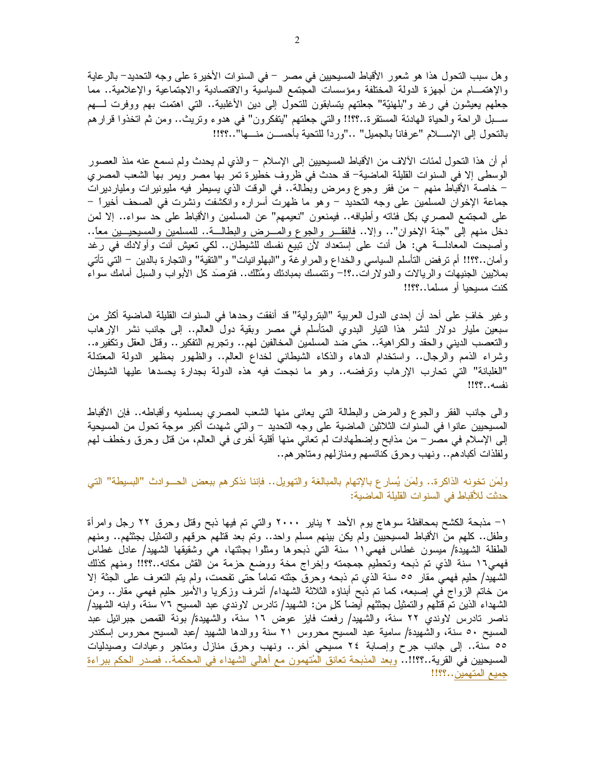وهل سبب النحول هذا هو شعور الأقباط المسيحيين في مصر – في السنوات الأخيرة على وجه النحديد– بالرعاية والإهتمـــام من أجهزة الدولة المختلفة ومؤسسات المجتمع السياسية والاقتصادية والاجتماعية والإعلامية.. مما جعلهم بعيشون في رغد و"بلهنيَّة" جعلتهم بتسابقون للتحول إلى دبن الأغلبية.. التي اهتمت بهم ووفرت لـــهم ســـبل الراحة والحياة الـهادئة المستقرة..؟؟!! والتي جعلتهم "يتفكرون" في هدوء وتريث.. ومن ثم اتخذوا قرارهم بالنحول إلى الإســــلام "عرفانا بالجميل" …"وردا للنحية بأحســـن منــــها"…؟؟!!

أم أن هذا النحول لمئات الألاف من الأقباط المسيحيين إلى الإسلام – والذي لم يحدث ولم نسمع عنه منذ العصور الوسطى إلا في السنوات القليلة الماضية– قد حدث في ظروف خطيرة تمر بـها مصر ويمر بـها الشعب المصري – خاصة الأقباط منهم – من فقر وجوع ومرض وبطالة.. في الوقت الذي يسيطر فيه مليونيرات ومليارديرات جماعة الإخوان المسلمين على وجه النحديد – وهو ما ظهرت أسراره وانكشفت ونشرت في الصحف أخيراً – على المجتمع المصري بكل فئاته وأطيافه.. فيمنعون "نعيمهم" عن المسلمين والأقباط على حد سواء.. إلا لمن دخل منهم إلى "جنة الإخوان".. وإلا.. فالفقـــر والجوع والمــــرض والبطالـــة.. للمسلمين والمسيحيـــين معاً.. وأصبحت المعادلـــة هي: هل أنت على إستعداد لأن نبيع نفسك للشيطان.. لكي نعيش أنت وأولادك في رغد وأمان..؟؟!! أم نرفض النأسلم السياسي والخداع والمراوغة و"البهلوانيات" و"النقية" والنجارة بالدين – النبي نأنبي بملايين الجنيهات والريالات والدولارات..؟!– ونتمسك بمبادئك ومُثلك.. فتوصَّد كلَّ الابواب والسبل امامك سواء كنت مسيحيا أو مسلما…؟؟!!

وغير خافٍ على أحد أن إحدى الدول العربية "البترولية" قد أنفقت وحدها في السنوات القليلة الماضية أكثر من سبعين مليار دولار لنشر هذا النيار البدوي المتأسلم في مصر وبقية دول العالم.. إلى جانب نشر الإرهاب والنعصب الديني والحقد والكراهية.. حتى ضد المسلمين المخالفين لهم.. ونجريم التفكير .. وقتل العقل ونكفيره.. وشراء الذمم والرجال.. واستخدام الدهاء والذكاء الشيطاني لخداع العالم.. والظهور بمظهر الدولة المعتدلة "الغلبانة" التي تحارب الإرهاب وترفضه.. وهو ما نجحت فيه هذه الدولة بجدارة يحسدها عليها الشيطان نفسه..؟؟!!

والبي جانب الفقر والجوع والمرض والبطالة التبي يعانبي منها الشعب المصري بمسلميه وأقباطه.. فإن الأقباط المسيحيين عانوا في السنوات الثلاثين الماضية على وجه التحديد – والتي شهدت أكبر موجة تحول من المسيحية الِمي الإسلام في مصـر – من مذابح وإضطـهادات لم تعانـي منـها أقلية أخرى فـي الـعالم، من قُتل وحرق وخطف لـهم ولفلذات أكبادهم.. ونهب وحرق كنائسهم ومنازلهم ومتاجرهم..

ولِمَن تَخونه الذاكرة.. ولِمَن يُسار ع بالإتهام بالمبالغة والتهويل.. فإننا نذكرهم ببعض الحـــوادث "البسيطة" التي حدثت للأقباط في السنوات القليلة الماضية:

١– مذبحة الكشح بمحافظة سوهاج يوم الأحد ٢ يناير ٢٠٠٠ والتبي تم فيها ذبح وقتل وحرق ٢٢ رجل وامرأة وطفل.. كلهم من الأقباط المسيحيين ولم يكن بينهم مسلم واحد.. وتم بعد قتلهم حرقهم والتمثيل بجثثهم.. ومنهم الطفلة الشهيدة/ ميسون غطاس فهمي١١ سنة التي ذبحوها ومثلوا بجثتها، هي وشقيقها الشهيد/ عادل غطاس فهمي١٦ سنة الذي تم ذبحه وتحطيم جمجمته وإخراج مخة ووضع حزمة من القش مكانه..؟؟!! ومنهم كذلك الشهيد/ حليم فهمي مقار ٥٥ سنة الذي تم ذبحه وحرق جثته تمامًا حتى تفحمت، ولم يتم التعرف على الجثة إلا من خاتم الزواج في إصبعه، كما تم ذبح أبناؤه الثلاثة الشهداء/ أشرف وزكريا والأمير حليم فهمي مقار .. ومن الشهداء الذين تم قُتلهم والتمثيل بجثثهم أيضًا كلِّ من: الشَّهيد/ نادرس لاوندي عبد المسيح ٧٦ سنة، وابنه الشهيد/ ناصر نادرس لاوندي ٢٢ سنة، والشهيد/ رفعت فايز عوض ١٦ سنة، والشهيدة/ بونة القمص جبرائيل عبد المسيح ٥٠ سنة، والشهيدة/ سامية عبد المسيح محروس ٢١ سنة ووالدها الشهيد /عبد المسيح محروس ٳسكندر ٥٥ سنة.. إلى جانب جرح وإصابة ٢٤ مسيحي أخر.. ونهب وحرق منازل ومتاجر وعيادات وصيدليات المسبحيين في القرية..؟؟!!.. وبعد المذبحة تعانق المُتهمون مع أهالي الشهداء في المحكمة.. فصدر الحكم ببراءة جميع المتهمين..؟؟!!!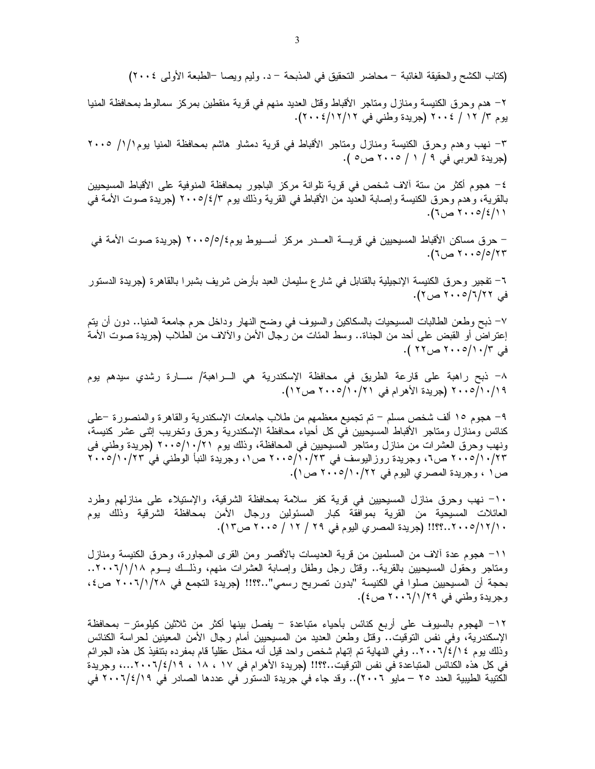كنائس ومنازل ومتاجر الأقباط المسيحيين في كل أحياء محافظة الإسكندرية وحرق وتخريب إثني عشر كنيسة، ونهب وحرق العشرات من منازل ومتاجر المسيحيين في المحافظة، وذلك يوم ٢٠١٠/١٠/٢١ (جريدة وطني في ٢٠٠٥/١٠/٢٣ ص٢، وجريدة روزاليوسف في ٢٠٠٥/١٠/٢٣ ص١، وجريدة النبأ الوطني في ٢٠٠٥/١٠/٢٣ ص١، وجريدة المصري اليوم في ٢٠١٠/١٠/٢٠ ص١).

١٠– نهب وحرق منازل المسيحيين في قرية كفر سلامة بمحافظة الشرقية، والإستيلاء على منازلهم وطرد العائلات المسيحية من القرية بموافقة كبار المسئولين ورجال الأمن بمحافظة الشرقية وذلك يوم ١٠/١٢/١٠٥..؟؟!! (جريدة المصري اليوم في ٢٩ / ١٢ / ٢٠٠٥ ص١٣).

1١– هجوم عدة ألاف من المسلمين من قرية العديسات بالأقصر ومن القرى المجاورة، وحرق الكنيسة ومنازل ومناجر وحقول المسيحيين بالقرية.. وقتل رجل وطفل وإصابة العشرات منهم، وذلَّــك يـــوم ١/١/١٨.. ٢٠٠٦.. بحجة أن المسيحيين صلوا في الكنيسة "بدون تصريح رسمي"..؟؟!! (جريدة التجمع في ٢٠٠٦/١/٢٨ ص٤، وجريدة وطني في ٢٩/١/٢٠٠٦ ص٤).

١٢– الهجوم بالسيوف على أربع كنائس بأحياء متباعدة – يفصل بينها أكثر من ثلاثين كيلومتر– بمحافظة الإسكندرية، وفي نفس التوقيت.. وقُتل وطعن العديد من المسيحيين أمام رجال الأمن المعينين لحراسة الكنائس وذلك يوم ٢ /١/٤/١٠٠٦. وفي النهاية تم إتهام شخص واحد قيل أنه مختل عقلياً قام بمفرده بتنفيذ كل هذه الجرائم في كل هذه الكنائس المتباعدة في نفس التوقيت..؟؟!! (جريدة الأهرام في ١٧ ، ١٨ ، ١٩/٤/١٩...، وجريدة الكتيبة الطيبية العدد ٢٥ – مايو ٢٠٠٦).. وقد جاء في جريدة الدستور في عددها الصادر في ٢٠٠٦/٤/١٩ في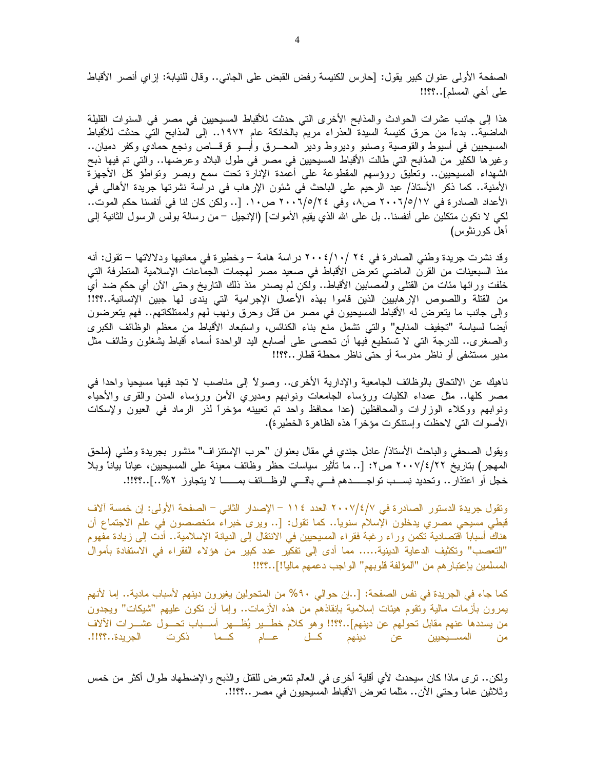الصفحة الأولى عنوان كبير يقول: [حارس الكنيسة رفض القبض على الجانـي.. وقال للنيابة: إزاي أنصر الأقباط على أخي المسلم]..؟؟!!

هذا إلى جانب عشرات الحوادث والمذابح الأخرى التي حدثت للأقباط المسبحيين في مصر في السنوات القليلة الماضية.. بدءاً من حرق كنيسة السيدة العذراء مريم بالخانكة عام ١٩٧٢.. إلى المذابح التي حدثت للأقباط المسيحيين فـي أسيوط والقوصية وصنبو وديروط ودير المحــــرق وأبــــو قرقــــاص ونجع حمادي وكفر دميان.. وغيرِها الكثيرِ من المذابح التي طالت الأقباط المسيحيين في مصرٍ في طول البلاد وعرضـها.. والتـي تم فيها ذبح الشهداء المسيحيين.. وتعليق روؤسهم المقطوعة على أعمدة الإنارة تحت سمع وبصر وتواطؤ كل الأجهزة الأمنية.. كما ذكر الأستاذ/ عبد الرحيم علي الباحث في شئون الإرهاب في دراسة نشرتها جريدة الأهالي في الأعداد الصادرة في ٢٠٠٦/٥/١٧ ص٨، وفي ٢٠٠٦/٥/٢٤ ص١٠. [.. ولكن كان لذا في أنفسنا حكم الموت.. لكي لا نكون منكلين على أنفسنا.. بل على الله الذي يقيم الأموات] (الإنجيل – من رسالة بولس الرسول الثانية إلى أهل كورنثوس)

وقد نشرت جريدة وطني الصادرة في ٢٤ /١٠/ ٢٠٠٤ دراسة هامة – وخطيرة في معانيها ودلالاتها – تقول: أنه منذ السبعينات من القرن الماضـي تعرض الأقباط في صـعيد مصر لـهجمات الجماعات الإسلامية المنطرفة التي خلَّفت ورائـها مئات من القُتلـي والمصـابين الأقباط.. ولكن لم يصدر منذ ذلك التاريخ وحتـي الأن أي حكم ضد أي من القتلة واللصوص الإرهابيين الذين قاموا بهذه الأعمال الإجرامية التي يندى لمها جبين الإنسانية..؟؟!! وإلى جانب ما يتعرض له الاقباط المسيحيون في مصر من قُتل وحرق ونـهب لـهم ولممتلكاتـهم.. فهم يتعرضون أيضاً لسياسة "تجفيف المنابع" والتبي نشمل منع بناء الكنائس، واستبعاد الأقباط من معظم الوظائف الكبرى والصغرى.. للدرجة النبي لا تستطيع فيها أن تحصبي على أصابع اليد الواحدة أسماء أقباط يشغلون وظائف مثل مدير مستشفى أو ناظر مدرسة أو حتى ناظر محطة قطار ..؟؟!!

ناهيك عن الالتحاق بالوظائف الجامعية والإدارية الأخرى.. وصولاً إلى مناصب لا تجد فيها مسيحيا واحدا في مصر كلها.. مثل عمداء الكليات ورؤساء الجامعات ونوابهم ومديري الأمن ورؤساء المدن والقرى والأحياء ونوابهم ووكلاء الوزارات والمحافظين (عدا محافظ واحد تم تعيينه مؤخراً لذر الرماد فمي العيون ولإسكات الأصوات التي لاحظت وإستنكرت مؤخراً هذه الظاهرة الخطيرة).

ويقول الصحفي والباحث الأستاذ/ عادل جندي في مقال بعنوان "حرب الإستنزاف" منشور بجريدة وطنبي (ملحق الممهجر) بتاريخ ٢٠٠٧/٤/٢٢ ص٢: [.. ما تأثير سياسات حظر وظائف معينة على المسيحيين، عياناً بياناً وبلا خجل أو اعتذار .. وتحديد نِســب تواجــــــدهم فـــي باقــــي الوظـــائف بمـــــــا لا يتجاوز ٢%..]..؟؟!!.

ونقول جريدة الدستور الصادر ة في ٢٠٠٧/٤/٧ العدد ١١٤ – الإصدار الثاني – الصفحة الأولى: إن خمسة آلاف قبطي مسيحي مصري يدخلون الإسلام سنويًا.. كما تقول: [.. ويرى خبراء متخصصون في علم الاجتماع أن هناك أسبابًا اقتصادية نكمن وراء رغبة فقراء المسيحيين في الانتقال إلى الديانة الإسلامية.. أدت إلى زيادة مفهوم "التعصب" وتكثيف الدعاية الدينية..... مما أدى إلى تفكير عدد كبير من هؤلاء الفقراء في الاستفادة بأموال المسلمين بإعتبار هم من "المؤلفة قلوبهم" الواجب دعمهم ماليا!]..؟؟!!

كما جاء في الجريدة في نفس الصفحة: [..إن حوالي ٩٠% من المتحولين يغيرون دينهم لأسباب مادية.. إما لأنهم يمرون بأزمات مالية ونقوم هيئات إسلامية بإنقاذهم من هذه الأزمات.. وإما أن نكون عليهم "شيكات" ويجدون من يسددها عنهم مقابل تحولهم عن دينهم]..؟؟!! وهو كلام خطــــير يُظــــهر أســــباب تحـــول عشــــرات الألاف من المســـيحيين عن دينهم كـــل عــــام كـــما ذكرت الجريدة..؟؟!!.

ولكن.. نرى ماذا كان سيحدث لأي أقلية أخرى فمي العالم نتعرض للقتل والذبح والإضطهاد طوال أكثر من خمس وثلاثين عامًا وحتى الأن.. مثَّلما تعرض الأقباط المسيحيون في مصر ..؟؟!!.